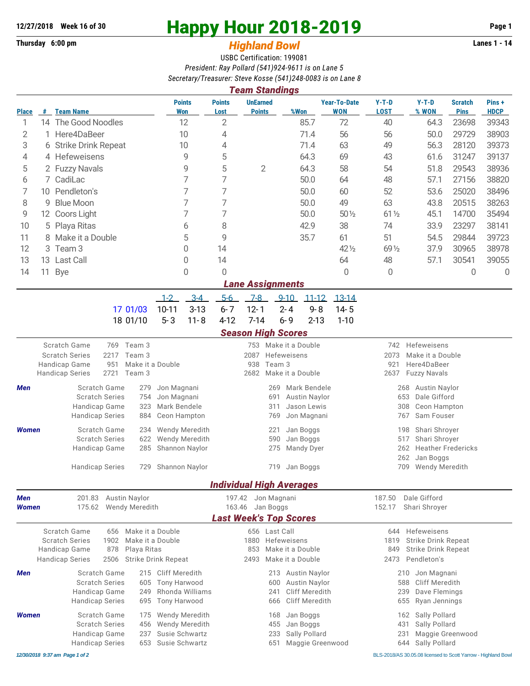## **Thursday 6:00 pm** *Highland Bowl*

## **12/27/2018** Week 16 of 30<br> **Happy Hour 2018-2019** Page 1<br> **Highland Rowl Lanes 1 - 14**<br>
Lanes 1 - 14

## USBC Certification: 199081 *President: Ray Pollard (541)924-9611 is on Lane 5 Secretary/Treasurer: Steve Kosse (541)248-0083 is on Lane 8*

|                                         |                              |                                                                                          |                       |                       |                              |                                  |                       | <b>Team Standings</b>                          |                  |                             |                                   |                                  |                                                                         |                               |                      |  |  |  |
|-----------------------------------------|------------------------------|------------------------------------------------------------------------------------------|-----------------------|-----------------------|------------------------------|----------------------------------|-----------------------|------------------------------------------------|------------------|-----------------------------|-----------------------------------|----------------------------------|-------------------------------------------------------------------------|-------------------------------|----------------------|--|--|--|
| Place                                   | #                            | <b>Team Name</b>                                                                         |                       |                       |                              | <b>Points</b><br>Won             | <b>Points</b><br>Lost | <b>UnEarned</b><br><b>Points</b>               |                  | %Won                        | <b>Year-To-Date</b><br><b>WON</b> | $Y-T-D$<br><b>LOST</b>           | $Y-T-D$<br>% WON                                                        | <b>Scratch</b><br><b>Pins</b> | Pins+<br><b>HDCP</b> |  |  |  |
| 1                                       |                              | 14 The Good Noodles                                                                      |                       |                       | 12                           |                                  | 2                     |                                                |                  | 85.7                        | 72                                | 40                               | 64.3                                                                    | 23698                         | 39343                |  |  |  |
| 2                                       |                              | Here4DaBeer                                                                              |                       |                       | 10                           |                                  | 4                     |                                                |                  | 71.4                        | 56                                | 56                               | 50.0                                                                    | 29729                         | 38903                |  |  |  |
| 3                                       |                              | 6 Strike Drink Repeat                                                                    |                       |                       | 10                           |                                  | 4                     |                                                |                  | 71.4                        | 63                                | 49                               | 56.3                                                                    | 28120                         | 39373                |  |  |  |
| 4                                       |                              | 4 Hefeweisens                                                                            |                       |                       | 9                            |                                  | 5                     |                                                |                  | 64.3                        | 69                                | 43                               | 61.6                                                                    | 31247                         | 39137                |  |  |  |
| 5                                       |                              | 2 Fuzzy Navals                                                                           |                       |                       | 9                            |                                  | 5                     | $\overline{2}$                                 |                  | 64.3                        | 58                                | 54                               | 51.8                                                                    | 29543                         | 38936                |  |  |  |
| 6                                       |                              | 7 CadiLac                                                                                |                       |                       |                              | 7                                | 7                     |                                                |                  | 50.0                        | 64                                | 48                               | 57.1                                                                    | 27156                         | 38820                |  |  |  |
| 7                                       |                              | Pendleton's<br>10                                                                        |                       |                       |                              | 7                                | 7                     |                                                |                  | 50.0                        | 60                                | 52                               | 53.6                                                                    | 25020                         | 38496                |  |  |  |
| 8                                       | <b>Blue Moon</b><br>9        |                                                                                          |                       |                       | 7                            | 7                                |                       |                                                | 50.0             | 49                          | 63                                | 43.8                             | 20515                                                                   | 38263                         |                      |  |  |  |
| 9                                       |                              | 12 Coors Light                                                                           |                       |                       |                              | 7                                | 7                     |                                                |                  | 50.0                        | $50\%$                            | $61\frac{1}{2}$                  | 45.1                                                                    | 14700                         | 35494                |  |  |  |
| 10                                      | 5 Playa Ritas                |                                                                                          |                       |                       | 6                            | 8                                |                       |                                                | 42.9             | 38                          | 74                                | 33.9                             | 23297                                                                   | 38141                         |                      |  |  |  |
| 11                                      | 8 Make it a Double           |                                                                                          |                       |                       | 5                            | 9                                |                       |                                                | 35.7             | 61                          | 51                                | 54.5                             | 29844                                                                   | 39723                         |                      |  |  |  |
| 12                                      |                              | Team <sub>3</sub><br>0<br>3                                                              |                       |                       | 14                           |                                  |                       |                                                | 42 1/2           | 69 1/2                      | 37.9                              | 30965                            | 38978                                                                   |                               |                      |  |  |  |
| 13                                      |                              | 13 Last Call<br>0                                                                        |                       |                       | 14                           |                                  |                       |                                                | 64               | 48                          | 57.1                              | 30541                            | 39055                                                                   |                               |                      |  |  |  |
| 14                                      | 11                           | <b>Bye</b>                                                                               |                       |                       |                              | 0                                | 0                     |                                                |                  |                             | 0                                 | 0                                |                                                                         | 0                             | 0                    |  |  |  |
|                                         |                              |                                                                                          |                       |                       |                              |                                  |                       | <b>Lane Assignments</b>                        |                  |                             |                                   |                                  |                                                                         |                               |                      |  |  |  |
|                                         |                              |                                                                                          |                       |                       | $1 - 2$                      | $3 - 4$                          | $5-6$                 | $7 - 8$                                        | $9 - 10$         | $11 - 12$                   | $13 - 14$                         |                                  |                                                                         |                               |                      |  |  |  |
|                                         |                              |                                                                                          |                       | 17 01/03              | $10 - 11$                    | $3 - 13$                         | $6 - 7$               | $12 - 1$                                       | $2 - 4$          | $9 - 8$                     | $14 - 5$                          |                                  |                                                                         |                               |                      |  |  |  |
|                                         |                              |                                                                                          |                       | 18 01/10              | $5 - 3$                      | $11 - 8$                         | $4 - 12$              | $7 - 14$                                       | $6 - 9$          | $2 - 13$                    | $1 - 10$                          |                                  |                                                                         |                               |                      |  |  |  |
|                                         |                              |                                                                                          |                       |                       |                              |                                  |                       | <b>Season High Scores</b>                      |                  |                             |                                   |                                  |                                                                         |                               |                      |  |  |  |
|                                         |                              | <b>Scratch Game</b>                                                                      | 769                   | Team 3                |                              |                                  |                       | 753                                            | Make it a Double |                             |                                   | 742                              | Hefeweisens                                                             |                               |                      |  |  |  |
| <b>Scratch Series</b><br>2217<br>Team 3 |                              |                                                                                          |                       |                       |                              |                                  |                       | 2087                                           | Hefeweisens      |                             |                                   | 2073<br>Make it a Double         |                                                                         |                               |                      |  |  |  |
|                                         |                              | Handicap Game<br>951                                                                     |                       |                       | Make it a Double             |                                  |                       | 938                                            | Team 3           |                             |                                   | 921                              | Here4DaBeer                                                             |                               |                      |  |  |  |
|                                         |                              | <b>Handicap Series</b>                                                                   | 2721                  | Team 3                |                              |                                  |                       | 2682                                           | Make it a Double |                             |                                   | 2637                             | <b>Fuzzy Navals</b>                                                     |                               |                      |  |  |  |
| Men                                     |                              | Scratch Game                                                                             | Jon Magnani           |                       |                              |                                  | 269                   | Mark Bendele                                   |                  | <b>Austin Naylor</b><br>268 |                                   |                                  |                                                                         |                               |                      |  |  |  |
|                                         |                              |                                                                                          | <b>Scratch Series</b> | 754                   | Jon Magnani                  |                                  |                       | 691<br>Austin Naylor<br>Jason Lewis<br>311     |                  |                             |                                   |                                  | 653<br>Dale Gifford                                                     |                               |                      |  |  |  |
|                                         |                              | Handicap Game<br>323<br><b>Handicap Series</b><br>884                                    |                       |                       | Mark Bendele<br>Ceon Hampton |                                  |                       | Jon Magnani<br>769                             |                  |                             |                                   |                                  | Ceon Hampton<br>308<br>Sam Fouser<br>767                                |                               |                      |  |  |  |
|                                         |                              |                                                                                          |                       |                       |                              |                                  |                       |                                                |                  |                             |                                   |                                  |                                                                         |                               |                      |  |  |  |
| <b>Women</b>                            |                              | Scratch Game<br>234<br><b>Scratch Series</b><br>622                                      |                       |                       |                              | Wendy Meredith<br>Wendy Meredith |                       | Jan Boggs<br>221<br>Jan Boggs<br>590           |                  |                             |                                   |                                  | Shari Shroyer<br>198<br>Shari Shroyer<br>517                            |                               |                      |  |  |  |
|                                         |                              | Handicap Game<br>285                                                                     |                       |                       | Shannon Naylor               |                                  |                       |                                                | 275              | Mandy Dyer                  |                                   | <b>Heather Fredericks</b><br>262 |                                                                         |                               |                      |  |  |  |
|                                         |                              |                                                                                          |                       |                       |                              |                                  |                       |                                                |                  |                             |                                   |                                  | 262<br>Jan Boggs                                                        |                               |                      |  |  |  |
|                                         |                              | <b>Handicap Series</b><br>729                                                            |                       |                       |                              | Shannon Naylor                   |                       | Jan Boggs<br>719                               |                  |                             |                                   |                                  | 709<br>Wendy Meredith                                                   |                               |                      |  |  |  |
|                                         |                              |                                                                                          |                       |                       |                              |                                  |                       | <b>Individual High Averages</b>                |                  |                             |                                   |                                  |                                                                         |                               |                      |  |  |  |
| <b>Men</b>                              |                              |                                                                                          |                       | 201.83 Austin Naylor  |                              |                                  |                       | 197.42 Jon Magnani                             |                  |                             |                                   | 187.50                           | Dale Gifford                                                            |                               |                      |  |  |  |
| <b>Women</b>                            |                              | 175.62                                                                                   |                       | <b>Wendy Meredith</b> |                              |                                  |                       | 163.46 Jan Boggs                               |                  |                             |                                   |                                  | Shari Shroyer                                                           |                               |                      |  |  |  |
|                                         |                              |                                                                                          |                       |                       |                              |                                  |                       | <b>Last Week's Top Scores</b>                  |                  |                             |                                   |                                  |                                                                         |                               |                      |  |  |  |
|                                         |                              | <b>Scratch Game</b>                                                                      | 656                   | Make it a Double      |                              |                                  |                       |                                                | 656 Last Call    |                             |                                   |                                  | 644 Hefeweisens                                                         |                               |                      |  |  |  |
|                                         |                              | <b>Scratch Series</b><br>1902<br>Make it a Double<br>Handicap Game<br>878<br>Playa Ritas |                       |                       |                              |                                  |                       | Hefeweisens<br>1880<br>Make it a Double<br>853 |                  |                             |                                   |                                  | <b>Strike Drink Repeat</b><br>1819<br><b>Strike Drink Repeat</b><br>849 |                               |                      |  |  |  |
|                                         |                              | <b>Handicap Series</b>                                                                   | 2506                  |                       | <b>Strike Drink Repeat</b>   |                                  |                       | 2493<br>Make it a Double                       |                  |                             |                                   |                                  | Pendleton's<br>2473                                                     |                               |                      |  |  |  |
| Men                                     |                              | Scratch Game                                                                             |                       |                       | 215 Cliff Meredith           |                                  |                       | 213 Austin Naylor                              |                  |                             |                                   |                                  | Jon Magnani<br>210                                                      |                               |                      |  |  |  |
|                                         |                              | <b>Scratch Series</b><br>605                                                             |                       |                       |                              | <b>Tony Harwood</b>              |                       | <b>Austin Naylor</b><br>600                    |                  |                             |                                   |                                  | Cliff Meredith<br>588                                                   |                               |                      |  |  |  |
|                                         |                              | Handicap Game<br>249                                                                     |                       |                       |                              | Rhonda Williams                  |                       | <b>Cliff Meredith</b><br>241                   |                  |                             |                                   |                                  | 239<br>Dave Flemings                                                    |                               |                      |  |  |  |
|                                         |                              | <b>Handicap Series</b>                                                                   |                       | 695                   | <b>Tony Harwood</b>          |                                  |                       |                                                | 666              | <b>Cliff Meredith</b>       |                                   |                                  | 655<br>Ryan Jennings                                                    |                               |                      |  |  |  |
| <b>Women</b>                            |                              | Scratch Game<br>175                                                                      |                       |                       |                              | Wendy Meredith                   |                       | Jan Boggs<br>168                               |                  |                             |                                   |                                  | Sally Pollard<br>162                                                    |                               |                      |  |  |  |
|                                         | <b>Scratch Series</b><br>456 |                                                                                          |                       |                       | Wendy Meredith               |                                  | Jan Boggs<br>455      |                                                |                  |                             |                                   | Sally Pollard<br>431             |                                                                         |                               |                      |  |  |  |
|                                         |                              | Handicap Game                                                                            |                       | 237                   | Susie Schwartz               |                                  |                       |                                                | 233              | Sally Pollard               |                                   |                                  | Maggie Greenwood<br>231                                                 |                               |                      |  |  |  |

Handicap Series 653 Susie Schwartz 651 Maggie Greenwood 644 Sally Pollard

*12/30/2018 9:37 am Page 1 of 2* BLS-2018/AS 30.05.08 licensed to Scott Yarrow - Highland Bowl